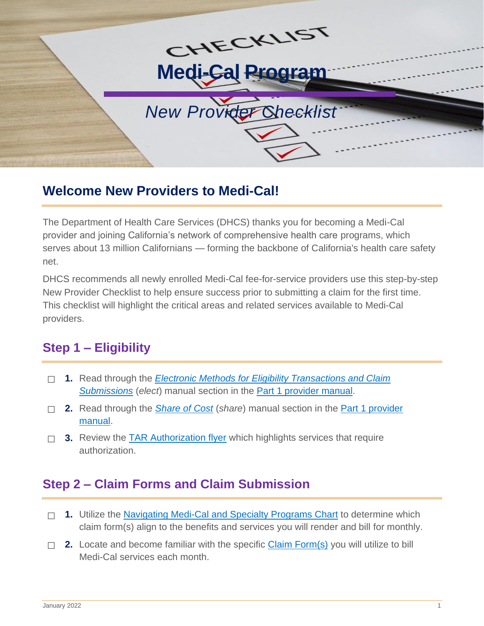

## **Welcome New Providers to Medi-Cal!**

The Department of Health Care Services (DHCS) thanks you for becoming a Medi-Cal provider and joining California's network of comprehensive health care programs, which serves about 13 million Californians — forming the backbone of California's health care safety net.

DHCS recommends all newly enrolled Medi-Cal fee-for-service providers use this step-by-step New Provider Checklist to help ensure success prior to submitting a claim for the first time. This checklist will highlight the critical areas and related services available to Medi-Cal providers.

# **Step 1 – Eligibility**

- ☐ **1.** Read through the *Electronic Methods for Eligibility [Transactions](https://files.medi-cal.ca.gov/pubsdoco/publications/masters-mtp/Part1/elect.pdf) and Claim [Submissions](https://files.medi-cal.ca.gov/pubsdoco/publications/masters-mtp/Part1/elect.pdf)* (*elect*) manual section in the Part [1 provider](https://files.medi-cal.ca.gov/pubsdoco/manual/man_query.aspx?wSearch=%2A_%2Az00%2A%2BOR%2B%2A_%2Az01%2A&wFLogo=Part1%2B%23%2BMedi-Cal%2BProgram%2Band%2BEligibility&wPath=N) manual.
- □ **2.** Read through the <u>S*hare of Cost* (*share*) manual section in the <u>Part 1 provider</u></u> [manual.](https://files.medi-cal.ca.gov/pubsdoco/manual/man_query.aspx?wSearch=%2A_%2Az00%2A%2BOR%2B%2A_%2Az01%2A&wFLogo=Part1%2B%23%2BMedi-Cal%2BProgram%2Band%2BEligibility&wPath=N)
- □ 3. Review the **TAR Authorization flyer** which highlights services that require authorization.

## **Step 2 – Claim Forms and Claim Submission**

- □ 1. Utilize the [Navigating Medi-Cal and Specialty Programs Chart](http://files.medi-cal.ca.gov/pubsdoco/bulletins/docs/navigating_medi-cal_and_specialty_health_programs.pdf) to determine which claim form(s) align to the benefits and services you will render and bill for monthly.
- □ 2. Locate and become familiar with the specific **Claim Form(s)** you will utilize to bill Medi-Cal services each month.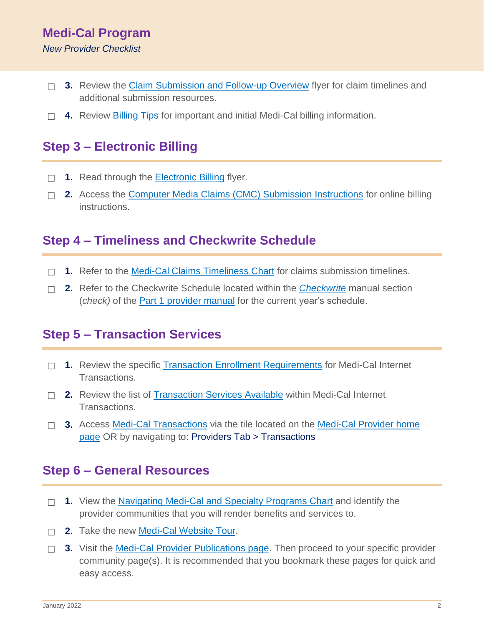#### **Medi-Cal Program** *New Provider Checklist*

- □ 3. Review the [Claim Submission and Follow-up Overview](https://files.medi-cal.ca.gov/pubsdoco/publications/misc/Claim_Submission_Overview.pdf) flyer for claim timelines and additional submission resources.
- ☐ **4.** Review [Billing](http://filesaccepttest.medi-cal.ca.gov/pubsdoco/billing_tips.aspx) Tips for important and initial Medi-Cal billing information.

## **Step 3 – Electronic Billing**

- □ 1. Read through the **[Electronic](https://files.medi-cal.ca.gov/pubsdoco/newsroom/Electronic_CMC_Billing_Flyer.pdf) Billing flyer.**
- ☐ 2. Access the **Computer Media Claims (CMC) Submission Instructions** for online billing instructions.

#### **Step 4 – Timeliness and Checkwrite Schedule**

- □ 1. Refer to the **Medi-Cal [Claims Timeliness](https://files.medi-cal.ca.gov/pubsdoco/publications/misc/Claim_Timeliness.pdf) Chart** for claims submission timelines.
- □ 2. Refer to the [Checkwrite Schedule l](https://filesaccepttest.medi-cal.ca.gov/pubsdoco/publications/masters-mtp/Part1/check_z01.doc)ocated within the **[Checkwrite](https://files.medi-cal.ca.gov/pubsdoco/publications/masters-mtp/Part1/check.pdf?web=1)** manual section (*check)* of the Part [1 provider](https://files.medi-cal.ca.gov/pubsdoco/manual/man_query.aspx?wSearch=(%23filename%2B%2A_%2Az00%2A.doc%2BOR%2B%23filename%2B%2A_%2Az00%2A.zip%2BOR%2B%23filename%2B%2A_%2Az01%2A.doc%2BOR%2B%23filename%2B%2A_%2Az01%2A.zip)&wFLogo=Part1%2B%23%2BMedi-Cal%2BProgram%2Band%2BEligibility&wFLogoH=52&wFLogoW=516&wAlt=Part1%2B%23%2BMedi-Cal%2BProgram%2Band%2BEligibility&wPath=N) manual for the current year's schedule.

## **Step 5 – Transaction Services**

- □ 1. Review the specific [Transaction Enrollment Requirements](https://files.medi-cal.ca.gov/pubsdoco/signup.aspx) for Medi-Cal Internet Transactions.
- □ 2. Review the list of [Transaction Services Available](https://files.medi-cal.ca.gov/pubsdoco/Services.aspx) within Medi-Cal Internet Transactions.
- □ 3. Access [Medi-Cal Transactions](https://medi-cal.ca.gov/MCWebPub/Login.aspx) via the tile located on the [Medi-Cal Provider home](https://medi-cal.ca.gov/) [page](https://medi-cal.ca.gov/) OR by navigating to: Providers Tab > Transactions

### **Step 6 – General Resources**

- ☐ **1.** View the [Navigating Medi-Cal and Specialty Programs Chart](http://files.medi-cal.ca.gov/pubsdoco/bulletins/docs/navigating_medi-cal_and_specialty_health_programs.pdf) and identify the provider communities that you will render benefits and services to.
- □ 2. Take the new **[Medi-Cal](http://files.medi-cal.ca.gov/pubsdoco/websitetour.aspx) Website Tour**.
- □ 3. Visit the **Medi-Cal Provider Publications page**. Then proceed to your specific provider community page(s). It is recommended that you bookmark these pages for quick and easy access.